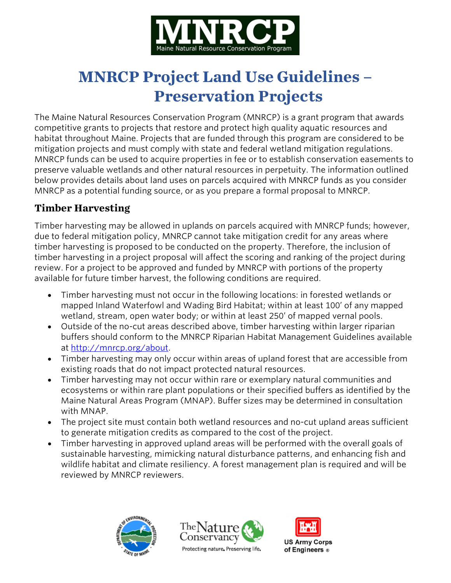

# **MNRCP Project Land Use Guidelines – Preservation Projects**

The Maine Natural Resources Conservation Program (MNRCP) is a grant program that awards competitive grants to projects that restore and protect high quality aquatic resources and habitat throughout Maine. Projects that are funded through this program are considered to be mitigation projects and must comply with state and federal wetland mitigation regulations. MNRCP funds can be used to acquire properties in fee or to establish conservation easements to preserve valuable wetlands and other natural resources in perpetuity. The information outlined below provides details about land uses on parcels acquired with MNRCP funds as you consider MNRCP as a potential funding source, or as you prepare a formal proposal to MNRCP.

# **Timber Harvesting**

Timber harvesting may be allowed in uplands on parcels acquired with MNRCP funds; however, due to federal mitigation policy, MNRCP cannot take mitigation credit for any areas where timber harvesting is proposed to be conducted on the property. Therefore, the inclusion of timber harvesting in a project proposal will affect the scoring and ranking of the project during review. For a project to be approved and funded by MNRCP with portions of the property available for future timber harvest, the following conditions are required.

- Timber harvesting must not occur in the following locations: in forested wetlands or mapped Inland Waterfowl and Wading Bird Habitat; within at least 100' of any mapped wetland, stream, open water body; or within at least 250' of mapped vernal pools.
- Outside of the no-cut areas described above, timber harvesting within larger riparian buffers should conform to the MNRCP Riparian Habitat Management Guidelines available at [http://mnrcp.org/about.](http://mnrcp.org/about)
- Timber harvesting may only occur within areas of upland forest that are accessible from existing roads that do not impact protected natural resources.
- Timber harvesting may not occur within rare or exemplary natural communities and ecosystems or within rare plant populations or their specified buffers as identified by the Maine Natural Areas Program (MNAP). Buffer sizes may be determined in consultation with MNAP.
- The project site must contain both wetland resources and no-cut upland areas sufficient to generate mitigation credits as compared to the cost of the project.
- Timber harvesting in approved upland areas will be performed with the overall goals of sustainable harvesting, mimicking natural disturbance patterns, and enhancing fish and wildlife habitat and climate resiliency. A forest management plan is required and will be reviewed by MNRCP reviewers.





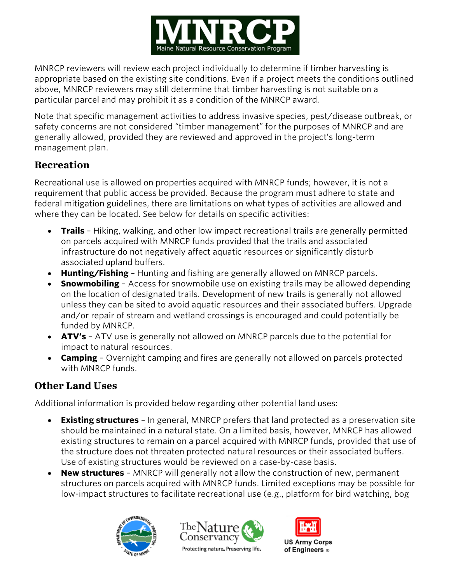

MNRCP reviewers will review each project individually to determine if timber harvesting is appropriate based on the existing site conditions. Even if a project meets the conditions outlined above, MNRCP reviewers may still determine that timber harvesting is not suitable on a particular parcel and may prohibit it as a condition of the MNRCP award.

Note that specific management activities to address invasive species, pest/disease outbreak, or safety concerns are not considered "timber management" for the purposes of MNRCP and are generally allowed, provided they are reviewed and approved in the project's long-term management plan.

### **Recreation**

Recreational use is allowed on properties acquired with MNRCP funds; however, it is not a requirement that public access be provided. Because the program must adhere to state and federal mitigation guidelines, there are limitations on what types of activities are allowed and where they can be located. See below for details on specific activities:

- **Trails** Hiking, walking, and other low impact recreational trails are generally permitted on parcels acquired with MNRCP funds provided that the trails and associated infrastructure do not negatively affect aquatic resources or significantly disturb associated upland buffers.
- **Hunting/Fishing** Hunting and fishing are generally allowed on MNRCP parcels.
- **Snowmobiling** Access for snowmobile use on existing trails may be allowed depending on the location of designated trails. Development of new trails is generally not allowed unless they can be sited to avoid aquatic resources and their associated buffers. Upgrade and/or repair of stream and wetland crossings is encouraged and could potentially be funded by MNRCP.
- **ATV's** ATV use is generally not allowed on MNRCP parcels due to the potential for impact to natural resources.
- **Camping** Overnight camping and fires are generally not allowed on parcels protected with MNRCP funds.

# **Other Land Uses**

Additional information is provided below regarding other potential land uses:

- **Existing structures** In general, MNRCP prefers that land protected as a preservation site should be maintained in a natural state. On a limited basis, however, MNRCP has allowed existing structures to remain on a parcel acquired with MNRCP funds, provided that use of the structure does not threaten protected natural resources or their associated buffers. Use of existing structures would be reviewed on a case-by-case basis.
- **New structures** MNRCP will generally not allow the construction of new, permanent structures on parcels acquired with MNRCP funds. Limited exceptions may be possible for low-impact structures to facilitate recreational use (e.g., platform for bird watching, bog